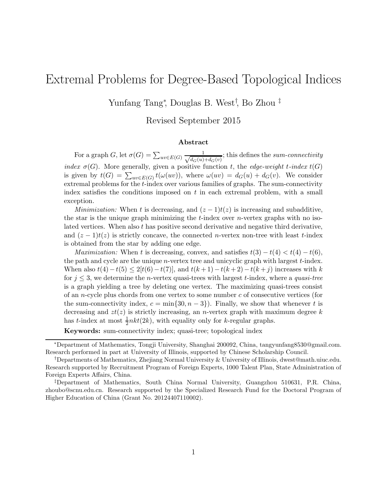# Extremal Problems for Degree-Based Topological Indices

Yunfang Tang<sup>∗</sup> , Douglas B. West† , Bo Zhou ‡

Revised September 2015

#### Abstract

For a graph G, let  $\sigma(G) = \sum_{uv \in E(G)} \frac{1}{\sqrt{d_G(u)}}$  $\frac{1}{d_G(u)+d_G(v)}$ ; this defines the sum-connectivity index  $\sigma(G)$ . More generally, given a positive function t, the edge-weight t-index  $t(G)$ is given by  $t(G) = \sum_{uv \in E(G)} t(\omega(uv))$ , where  $\omega(uv) = d_G(u) + d_G(v)$ . We consider extremal problems for the t-index over various families of graphs. The sum-connectivity index satisfies the conditions imposed on  $t$  in each extremal problem, with a small exception.

*Minimization:* When t is decreasing, and  $(z - 1)t(z)$  is increasing and subadditive, the star is the unique graph minimizing the  $t$ -index over *n*-vertex graphs with no isolated vertices. When also t has positive second derivative and negative third derivative, and  $(z - 1)t(z)$  is strictly concave, the connected n-vertex non-tree with least t-index is obtained from the star by adding one edge.

*Maximization:* When t is decreasing, convex, and satisfies  $t(3) - t(4) < t(4) - t(6)$ , the path and cycle are the unique  $n$ -vertex tree and unicyclic graph with largest  $t$ -index. When also  $t(4) - t(5) \le 2[t(6) - t(7)]$ , and  $t(k+1) - t(k+2) - t(k+j)$  increases with k for  $j \leq 3$ , we determine the *n*-vertex quasi-trees with largest t-index, where a *quasi-tree* is a graph yielding a tree by deleting one vertex. The maximizing quasi-trees consist of an *n*-cycle plus chords from one vertex to some number  $c$  of consecutive vertices (for the sum-connectivity index,  $c = \min\{30, n-3\}$ . Finally, we show that whenever t is decreasing and  $zt(z)$  is strictly increasing, an *n*-vertex graph with maximum degree k has *t*-index at most  $\frac{1}{2}nkt(2k)$ , with equality only for *k*-regular graphs.

Keywords: sum-connectivity index; quasi-tree; topological index

<sup>∗</sup>Department of Mathematics, Tongji University, Shanghai 200092, China, tangyunfang8530@gmail.com. Research performed in part at University of Illinois, supported by Chinese Scholarship Council.

<sup>†</sup>Departments of Mathematics, Zhejiang Normal University & University of Illinois, dwest@math.uiuc.edu. Research supported by Recruitment Program of Foreign Experts, 1000 Talent Plan, State Administration of Foreign Experts Affairs, China.

<sup>‡</sup>Department of Mathematics, South China Normal University, Guangzhou 510631, P.R. China, zhoubo@scnu.edu.cn. Research supported by the Specialized Research Fund for the Doctoral Program of Higher Education of China (Grant No. 20124407110002).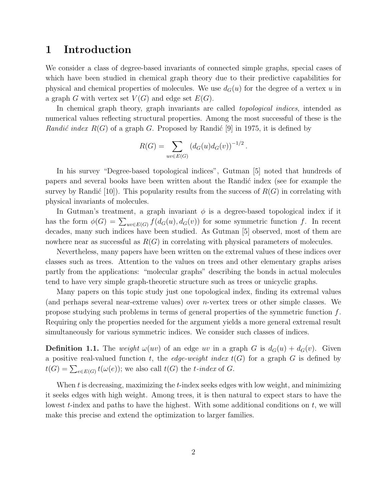### 1 Introduction

We consider a class of degree-based invariants of connected simple graphs, special cases of which have been studied in chemical graph theory due to their predictive capabilities for physical and chemical properties of molecules. We use  $d_G(u)$  for the degree of a vertex u in a graph G with vertex set  $V(G)$  and edge set  $E(G)$ .

In chemical graph theory, graph invariants are called *topological indices*, intended as numerical values reflecting structural properties. Among the most successful of these is the *Randić index*  $R(G)$  of a graph G. Proposed by Randić [9] in 1975, it is defined by

$$
R(G) = \sum_{uv \in E(G)} (d_G(u)d_G(v))^{-1/2}.
$$

In his survey "Degree-based topological indices", Gutman [5] noted that hundreds of papers and several books have been written about the Randic index (see for example the survey by Randić [10]). This popularity results from the success of  $R(G)$  in correlating with physical invariants of molecules.

In Gutman's treatment, a graph invariant  $\phi$  is a degree-based topological index if it has the form  $\phi(G) = \sum_{uv \in E(G)} f(d_G(u), d_G(v))$  for some symmetric function f. In recent decades, many such indices have been studied. As Gutman [5] observed, most of them are nowhere near as successful as  $R(G)$  in correlating with physical parameters of molecules.

Nevertheless, many papers have been written on the extremal values of these indices over classes such as trees. Attention to the values on trees and other elementary graphs arises partly from the applications: "molecular graphs" describing the bonds in actual molecules tend to have very simple graph-theoretic structure such as trees or unicyclic graphs.

Many papers on this topic study just one topological index, finding its extremal values (and perhaps several near-extreme values) over n-vertex trees or other simple classes. We propose studying such problems in terms of general properties of the symmetric function  $f$ . Requiring only the properties needed for the argument yields a more general extremal result simultaneously for various symmetric indices. We consider such classes of indices.

**Definition 1.1.** The *weight*  $\omega(w)$  of an edge uv in a graph G is  $d_G(u) + d_G(v)$ . Given a positive real-valued function t, the *edge-weight index*  $t(G)$  for a graph G is defined by  $t(G) = \sum_{e \in E(G)} t(\omega(e));$  we also call  $t(G)$  the *t*-index of G.

When  $t$  is decreasing, maximizing the  $t$ -index seeks edges with low weight, and minimizing it seeks edges with high weight. Among trees, it is then natural to expect stars to have the lowest  $t$ -index and paths to have the highest. With some additional conditions on  $t$ , we will make this precise and extend the optimization to larger families.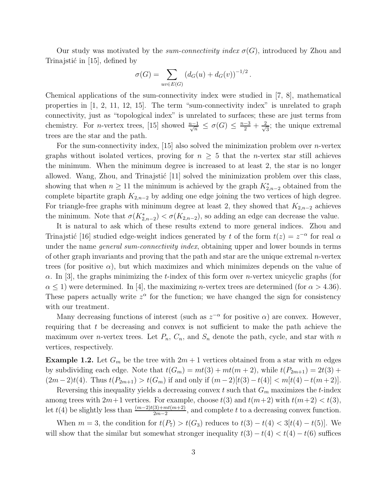Our study was motivated by the *sum-connectivity index*  $\sigma(G)$ , introduced by Zhou and Trinajstić in  $[15]$ , defined by

$$
\sigma(G) = \sum_{uv \in E(G)} (d_G(u) + d_G(v))^{-1/2}.
$$

Chemical applications of the sum-connectivity index were studied in [7, 8], mathematical properties in [1, 2, 11, 12, 15]. The term "sum-connectivity index" is unrelated to graph connectivity, just as "topological index" is unrelated to surfaces; these are just terms from chemistry. For *n*-vertex trees, [15] showed  $\frac{n-1}{\sqrt{n}} \leq \sigma(G) \leq \frac{n-3}{2} + \frac{2}{\sqrt{n}}$  $\frac{2}{3}$ ; the unique extremal trees are the star and the path.

For the sum-connectivity index,  $[15]$  also solved the minimization problem over *n*-vertex graphs without isolated vertices, proving for  $n \geq 5$  that the *n*-vertex star still achieves the minimum. When the minimum degree is increased to at least 2, the star is no longer allowed. Wang, Zhou, and Trinajstić  $[11]$  solved the minimization problem over this class, showing that when  $n \geq 11$  the minimum is achieved by the graph  $K_{2,n-2}^*$  obtained from the complete bipartite graph  $K_{2,n-2}$  by adding one edge joining the two vertices of high degree. For triangle-free graphs with minimum degree at least 2, they showed that  $K_{2,n-2}$  achieves the minimum. Note that  $\sigma(K_{2,n-2}^*) < \sigma(K_{2,n-2})$ , so adding an edge can decrease the value.

It is natural to ask which of these results extend to more general indices. Zhou and Trinajstić [16] studied edge-weight indices generated by t of the form  $t(z) = z^{-\alpha}$  for real  $\alpha$ under the name *general sum-connectivity index*, obtaining upper and lower bounds in terms of other graph invariants and proving that the path and star are the unique extremal n-vertex trees (for positive  $\alpha$ ), but which maximizes and which minimizes depends on the value of  $\alpha$ . In [3], the graphs minimizing the t-index of this form over *n*-vertex unicyclic graphs (for  $\alpha$  < 1) were determined. In [4], the maximizing *n*-vertex trees are determined (for  $\alpha$  > 4.36). These papers actually write  $z^{\alpha}$  for the function; we have changed the sign for consistency with our treatment.

Many decreasing functions of interest (such as  $z^{-\alpha}$  for positive  $\alpha$ ) are convex. However, requiring that  $t$  be decreasing and convex is not sufficient to make the path achieve the maximum over *n*-vertex trees. Let  $P_n$ ,  $C_n$ , and  $S_n$  denote the path, cycle, and star with *n* vertices, respectively.

**Example 1.2.** Let  $G_m$  be the tree with  $2m + 1$  vertices obtained from a star with m edges by subdividing each edge. Note that  $t(G_m) = mt(3) + mt(m+2)$ , while  $t(P_{2m+1}) = 2t(3) +$  $(2m-2)t(4)$ . Thus  $t(P_{2m+1}) > t(G_m)$  if and only if  $(m-2)[t(3)-t(4)] < m[t(4)-t(m+2)]$ .

Reversing this inequality yields a decreasing convex t such that  $G_m$  maximizes the t-index among trees with  $2m+1$  vertices. For example, choose  $t(3)$  and  $t(m+2)$  with  $t(m+2) < t(3)$ , let  $t(4)$  be slightly less than  $\frac{(m-2)t(3)+mt(m+2)}{2m-2}$ , and complete t to a decreasing convex function.

When  $m = 3$ , the condition for  $t(P_7) > t(G_3)$  reduces to  $t(3) - t(4) < 3[t(4) - t(5)]$ . We will show that the similar but somewhat stronger inequality  $t(3) - t(4) < t(4) - t(6)$  suffices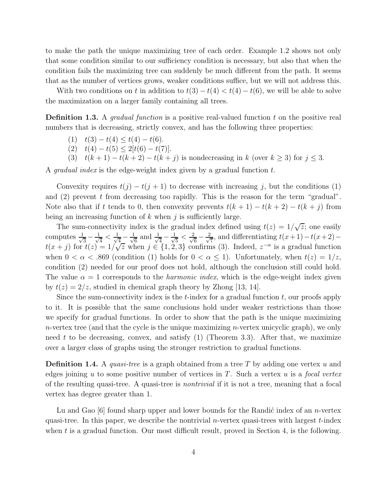to make the path the unique maximizing tree of each order. Example 1.2 shows not only that some condition similar to our sufficiency condition is necessary, but also that when the condition fails the maximizing tree can suddenly be much different from the path. It seems that as the number of vertices grows, weaker conditions suffice, but we will not address this.

With two conditions on t in addition to  $t(3) - t(4) < t(4) - t(6)$ , we will be able to solve the maximization on a larger family containing all trees.

Definition 1.3. A *gradual function* is a positive real-valued function t on the positive real numbers that is decreasing, strictly convex, and has the following three properties:

- (1)  $t(3) t(4) \leq t(4) t(6)$ .
- (2)  $t(4) t(5) \leq 2[t(6) t(7)].$
- (3)  $t(k+1) t(k+2) t(k+j)$  is nondecreasing in k (over  $k \ge 3$ ) for  $j \le 3$ .

A *gradual index* is the edge-weight index given by a gradual function t.

Convexity requires  $t(j) - t(j + 1)$  to decrease with increasing j, but the conditions (1) and  $(2)$  prevent t from decreasing too rapidly. This is the reason for the term "gradual". Note also that if t tends to 0, then convexity prevents  $t(k + 1) - t(k + 2) - t(k + j)$  from being an increasing function of  $k$  when  $j$  is sufficiently large.

The sum-connectivity index is the gradual index defined using  $t(z) = 1/\sqrt{z}$ ; one easily computes  $\frac{1}{\sqrt{2}}$  $\frac{1}{3} - \frac{1}{\sqrt{2}}$  $\frac{1}{4} < \frac{1}{\sqrt{2}}$  $\frac{1}{4} - \frac{1}{\sqrt{6}}$  $\frac{1}{6}$  and  $\frac{1}{\sqrt{2}}$  $\frac{1}{4} - \frac{1}{\sqrt{2}}$  $\frac{2}{5} < \frac{2}{\sqrt{6}}$  $\frac{1}{6} - \frac{2}{\sqrt{2}}$  $\frac{1}{7}$ , and differentiating  $t(x+1)-t(x+2)$  $t(x+j)$  for  $t(z) = 1/\sqrt{z}$  when  $j \in \{1, 2, 3\}$  confirms (3). Indeed,  $z^{-\alpha}$  is a gradual function when  $0 < \alpha < .869$  (condition (1) holds for  $0 < \alpha \le 1$ ). Unfortunately, when  $t(z) = 1/z$ , condition (2) needed for our proof does not hold, although the conclusion still could hold. The value  $\alpha = 1$  corresponds to the *harmonic index*, which is the edge-weight index given by  $t(z) = 2/z$ , studied in chemical graph theory by Zhong [13, 14].

Since the sum-connectivity index is the  $t$ -index for a gradual function  $t$ , our proofs apply to it. It is possible that the same conclusions hold under weaker restrictions than those we specify for gradual functions. In order to show that the path is the unique maximizing n-vertex tree (and that the cycle is the unique maximizing n-vertex unicyclic graph), we only need t to be decreasing, convex, and satisfy  $(1)$  (Theorem 3.3). After that, we maximize over a larger class of graphs using the stronger restriction to gradual functions.

**Definition 1.4.** A *quasi-tree* is a graph obtained from a tree T by adding one vertex u and edges joining u to some positive number of vertices in T. Such a vertex u is a *focal vertex* of the resulting quasi-tree. A quasi-tree is *nontrivial* if it is not a tree, meaning that a focal vertex has degree greater than 1.

Lu and Gao  $[6]$  found sharp upper and lower bounds for the Randic index of an *n*-vertex quasi-tree. In this paper, we describe the nontrivial *n*-vertex quasi-trees with largest  $t$ -index when t is a gradual function. Our most difficult result, proved in Section 4, is the following.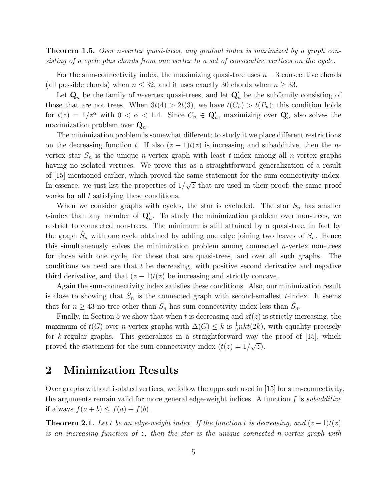Theorem 1.5. *Over* n*-vertex quasi-trees, any gradual index is maximized by a graph consisting of a cycle plus chords from one vertex to a set of consecutive vertices on the cycle.*

For the sum-connectivity index, the maximizing quasi-tree uses  $n-3$  consecutive chords (all possible chords) when  $n \leq 32$ , and it uses exactly 30 chords when  $n \geq 33$ .

Let  $\mathbf{Q}_n$  be the family of *n*-vertex quasi-trees, and let  $\mathbf{Q}'_n$  be the subfamily consisting of those that are not trees. When  $3t(4) > 2t(3)$ , we have  $t(C_n) > t(P_n)$ ; this condition holds for  $t(z) = 1/z^{\alpha}$  with  $0 < \alpha < 1.4$ . Since  $C_n \in \mathbf{Q}'_n$ , maximizing over  $\mathbf{Q}'_n$  also solves the maximization problem over  $\mathbf{Q}_n$ .

The minimization problem is somewhat different; to study it we place different restrictions on the decreasing function t. If also  $(z - 1)t(z)$  is increasing and subadditive, then the nvertex star  $S_n$  is the unique *n*-vertex graph with least *t*-index among all *n*-vertex graphs having no isolated vertices. We prove this as a straightforward generalization of a result of [15] mentioned earlier, which proved the same statement for the sum-connectivity index. In essence, we just list the properties of  $1/\sqrt{z}$  that are used in their proof; the same proof works for all t satisfying these conditions.

When we consider graphs with cycles, the star is excluded. The star  $S_n$  has smaller t-index than any member of  $\mathbf{Q}'_n$ . To study the minimization problem over non-trees, we restrict to connected non-trees. The minimum is still attained by a quasi-tree, in fact by the graph  $\hat{S}_n$  with one cycle obtained by adding one edge joining two leaves of  $S_n$ . Hence this simultaneously solves the minimization problem among connected  $n$ -vertex non-trees for those with one cycle, for those that are quasi-trees, and over all such graphs. The conditions we need are that  $t$  be decreasing, with positive second derivative and negative third derivative, and that  $(z - 1)t(z)$  be increasing and strictly concave.

Again the sum-connectivity index satisfies these conditions. Also, our minimization result is close to showing that  $\hat{S}_n$  is the connected graph with second-smallest t-index. It seems that for  $n \geq 43$  no tree other than  $S_n$  has sum-connectivity index less than  $\hat{S}_n$ .

Finally, in Section 5 we show that when t is decreasing and  $zt(z)$  is strictly increasing, the maximum of  $t(G)$  over *n*-vertex graphs with  $\Delta(G) \leq k$  is  $\frac{1}{2}nkt(2k)$ , with equality precisely for k-regular graphs. This generalizes in a straightforward way the proof of  $[15]$ , which proved the statement for the sum-connectivity index  $(t(z) = 1/\sqrt{z})$ .

### 2 Minimization Results

Over graphs without isolated vertices, we follow the approach used in [15] for sum-connectivity; the arguments remain valid for more general edge-weight indices. A function f is *subadditive* if always  $f(a + b) \leq f(a) + f(b)$ .

**Theorem 2.1.** Let t be an edge-weight index. If the function t is decreasing, and  $(z-1)t(z)$ *is an increasing function of* z*, then the star is the unique connected* n*-vertex graph with*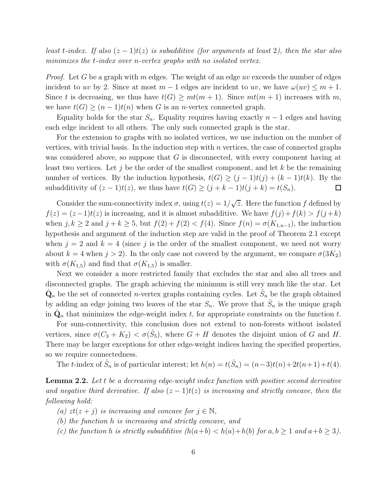*least* t-index. If also  $(z - 1)t(z)$  is subadditive (for arguments at least 2), then the star also *minimizes the* t*-index over* n*-vertex graphs with no isolated vertex.*

*Proof.* Let G be a graph with m edges. The weight of an edge uv exceeds the number of edges incident to uv by 2. Since at most  $m-1$  edges are incident to uv, we have  $\omega(uv) \leq m+1$ . Since t is decreasing, we thus have  $t(G) \geq mt(m+1)$ . Since  $mt(m+1)$  increases with m, we have  $t(G) \ge (n-1)t(n)$  when G is an n-vertex connected graph.

Equality holds for the star  $S_n$ . Equality requires having exactly  $n-1$  edges and having each edge incident to all others. The only such connected graph is the star.

For the extension to graphs with no isolated vertices, we use induction on the number of vertices, with trivial basis. In the induction step with  $n$  vertices, the case of connected graphs was considered above, so suppose that  $G$  is disconnected, with every component having at least two vertices. Let j be the order of the smallest component, and let  $k$  be the remaining number of vertices. By the induction hypothesis,  $t(G) \geq (j-1)t(j) + (k-1)t(k)$ . By the subadditivity of  $(z - 1)t(z)$ , we thus have  $t(G) \ge (j + k - 1)t(j + k) = t(S_n)$ .  $\Box$ 

Consider the sum-connectivity index  $\sigma$ , using  $t(z) = 1/\sqrt{z}$ . Here the function f defined by  $f(z) = (z-1)t(z)$  is increasing, and it is almost subadditive. We have  $f(j) + f(k) > f(j+k)$ when  $j, k \geq 2$  and  $j + k \geq 5$ , but  $f(2) + f(2) < f(4)$ . Since  $f(n) = \sigma(K_{1,n-1})$ , the induction hypothesis and argument of the induction step are valid in the proof of Theorem 2.1 except when  $j = 2$  and  $k = 4$  (since j is the order of the smallest component, we need not worry about  $k = 4$  when  $j > 2$ ). In the only case not covered by the argument, we compare  $\sigma(3K_2)$ with  $\sigma(K_{1,5})$  and find that  $\sigma(K_{1,5})$  is smaller.

Next we consider a more restricted family that excludes the star and also all trees and disconnected graphs. The graph achieving the minimum is still very much like the star. Let  $\hat{\mathbf{Q}}_n$  be the set of connected *n*-vertex graphs containing cycles. Let  $\hat{S}_n$  be the graph obtained by adding an edge joining two leaves of the star  $S_n$ . We prove that  $\hat{S}_n$  is the unique graph in  $\hat{\mathbf{Q}}_n$  that minimizes the edge-weight index t, for appropriate constraints on the function t.

For sum-connectivity, this conclusion does not extend to non-forests without isolated vertices, since  $\sigma(C_3 + K_2) < \sigma(\hat{S}_5)$ , where  $G + H$  denotes the disjoint union of G and H. There may be larger exceptions for other edge-weight indices having the specified properties, so we require connectedness.

The *t*-index of  $\hat{S}_n$  is of particular interest; let  $h(n) = t(\hat{S}_n) = (n-3)t(n) + 2t(n+1) + t(4)$ .

Lemma 2.2. Let t be a decreasing edge-weight index function with positive second derivative *and negative third derivative. If also*  $(z - 1)t(z)$  *is increasing and strictly concave, then the following hold:*

- *(a)*  $zt(z + j)$  *is increasing and concave for*  $j \in \mathbb{N}$ *,*
- *(b) the function* h *is increasing and strictly concave, and*
- *(c)* the function h is strictly subadditive  $(h(a+b) < h(a)+h(b))$  for  $a, b \ge 1$  and  $a+b \ge 3$ .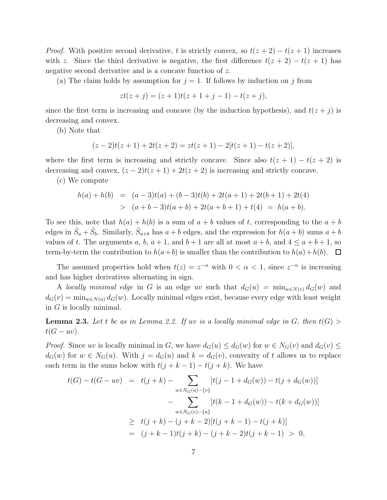*Proof.* With positive second derivative, t is strictly convex, so  $t(z + 2) - t(z + 1)$  increases with z. Since the third derivative is negative, the first difference  $t(z + 2) - t(z + 1)$  has negative second derivative and is a concave function of z.

(a) The claim holds by assumption for  $j = 1$ . If follows by induction on j from

$$
zt(z + j) = (z + 1)t(z + 1 + j - 1) - t(z + j),
$$

since the first term is increasing and concave (by the induction hypothesis), and  $t(z + j)$  is decreasing and convex.

(b) Note that

$$
(z-2)t(z+1) + 2t(z+2) = zt(z+1) - 2[t(z+1) - t(z+2)],
$$

where the first term is increasing and strictly concave. Since also  $t(z + 1) - t(z + 2)$  is decreasing and convex,  $(z - 2)t(z + 1) + 2t(z + 2)$  is increasing and strictly concave.

(c) We compute

$$
h(a) + h(b) = (a-3)t(a) + (b-3)t(b) + 2t(a+1) + 2t(b+1) + 2t(4)
$$
  
> 
$$
(a+b-3)t(a+b) + 2t(a+b+1) + t(4) = h(a+b).
$$

To see this, note that  $h(a) + h(b)$  is a sum of  $a + b$  values of t, corresponding to the  $a + b$ edges in  $\hat{S}_a + \hat{S}_b$ . Similarly,  $\hat{S}_{a+b}$  has  $a+b$  edges, and the expression for  $h(a+b)$  sums  $a+b$ values of t. The arguments a, b,  $a + 1$ , and  $b + 1$  are all at most  $a + b$ , and  $4 \le a + b + 1$ , so term-by-term the contribution to  $h(a+b)$  is smaller than the contribution to  $h(a)+h(b)$ .  $\Box$ 

The assumed properties hold when  $t(z) = z^{-\alpha}$  with  $0 < \alpha < 1$ , since  $z^{-\alpha}$  is increasing and has higher derivatives alternating in sign.

A *locally minimal edge* in G is an edge uv such that  $d_G(u) = \min_{w \in N(v)} d_G(w)$  and  $d_G(v) = \min_{w \in N(u)} d_G(w)$ . Locally minimal edges exist, because every edge with least weight in G is locally minimal.

**Lemma 2.3.** Let t be as in Lemma 2.2. If uv is a locally minimal edge in G, then  $t(G)$  $t(G - uv)$ .

*Proof.* Since uv is locally minimal in G, we have  $d_G(u) \leq d_G(w)$  for  $w \in N_G(v)$  and  $d_G(v) \leq$  $d_G(w)$  for  $w \in N_G(u)$ . With  $j = d_G(u)$  and  $k = d_G(v)$ , convexity of t allows us to replace each term in the sums below with  $t(j + k - 1) - t(j + k)$ . We have

$$
t(G) - t(G - uv) = t(j + k) - \sum_{w \in N_G(u) - \{v\}} [t(j - 1 + d_G(w)) - t(j + d_G(w))]
$$
  

$$
- \sum_{w \in N_G(v) - \{u\}} [t(k - 1 + d_G(w)) - t(k + d_G(w))]
$$
  

$$
\geq t(j + k) - (j + k - 2)[t(j + k - 1) - t(j + k)]
$$
  

$$
= (j + k - 1)t(j + k) - (j + k - 2)t(j + k - 1) > 0,
$$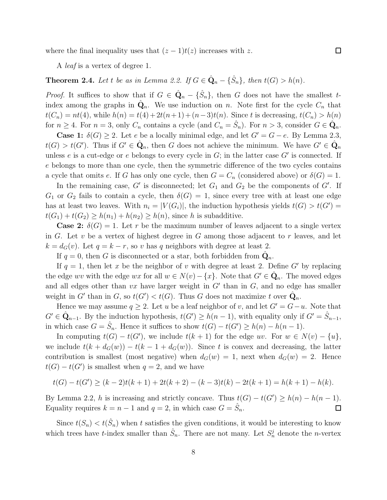where the final inequality uses that  $(z - 1)t(z)$  increases with z.

A *leaf* is a vertex of degree 1.

## **Theorem 2.4.** *Let t be as in Lemma 2.2. If*  $G \in \hat{Q}_n - {\hat{S}_n}$ *, then*  $t(G) > h(n)$ *.*

*Proof.* It suffices to show that if  $G \in \hat{Q}_n - {\hat{S}_n}$ , then G does not have the smallest tindex among the graphs in  $\hat{\mathbf{Q}}_n$ . We use induction on n. Note first for the cycle  $C_n$  that  $t(C_n) = nt(4)$ , while  $h(n) = t(4) + 2t(n+1) + (n-3)t(n)$ . Since t is decreasing,  $t(C_n) > h(n)$ for  $n \ge 4$ . For  $n = 3$ , only  $C_n$  contains a cycle (and  $C_n = \hat{S}_n$ ). For  $n > 3$ , consider  $G \in \hat{Q}_n$ .

**Case 1:**  $\delta(G) \geq 2$ . Let e be a locally minimal edge, and let  $G' = G - e$ . By Lemma 2.3,  $t(G) > t(G')$ . Thus if  $G' \in \hat{Q}_n$ , then G does not achieve the minimum. We have  $G' \in \hat{Q}_n$ unless e is a cut-edge or e belongs to every cycle in  $G$ ; in the latter case  $G'$  is connected. If e belongs to more than one cycle, then the symmetric difference of the two cycles contains a cycle that omits e. If G has only one cycle, then  $G = C_n$  (considered above) or  $\delta(G) = 1$ .

In the remaining case,  $G'$  is disconnected; let  $G_1$  and  $G_2$  be the components of  $G'$ . If  $G_1$  or  $G_2$  fails to contain a cycle, then  $\delta(G) = 1$ , since every tree with at least one edge has at least two leaves. With  $n_i = |V(G_i)|$ , the induction hypothesis yields  $t(G) > t(G') =$  $t(G_1) + t(G_2) \geq h(n_1) + h(n_2) \geq h(n)$ , since h is subadditive.

**Case 2:**  $\delta(G) = 1$ . Let r be the maximum number of leaves adjacent to a single vertex in G. Let  $v$  be a vertex of highest degree in G among those adjacent to  $r$  leaves, and let  $k = d_G(v)$ . Let  $q = k - r$ , so v has q neighbors with degree at least 2.

If  $q = 0$ , then G is disconnected or a star, both forbidden from  $\hat{\mathbf{Q}}_n$ .

If  $q = 1$ , then let x be the neighbor of v with degree at least 2. Define G' by replacing the edge wv with the edge wx for all  $w \in N(v) - \{x\}$ . Note that  $G' \in \hat{Q}_n$ . The moved edges and all edges other than  $vx$  have larger weight in  $G'$  than in  $G$ , and no edge has smaller weight in G' than in G, so  $t(G') < t(G)$ . Thus G does not maximize t over  $\hat{\mathbf{Q}}_n$ .

Hence we may assume  $q \geq 2$ . Let u be a leaf neighbor of v, and let  $G' = G - u$ . Note that  $G' \in \hat{Q}_{n-1}$ . By the induction hypothesis,  $t(G') \geq h(n-1)$ , with equality only if  $G' = \hat{S}_{n-1}$ , in which case  $G = \hat{S}_n$ . Hence it suffices to show  $t(G) - t(G') \ge h(n) - h(n-1)$ .

In computing  $t(G) - t(G')$ , we include  $t(k + 1)$  for the edge uv. For  $w \in N(v) - \{u\}$ , we include  $t(k + d_G(w)) - t(k - 1 + d_G(w))$ . Since t is convex and decreasing, the latter contribution is smallest (most negative) when  $d_G(w) = 1$ , next when  $d_G(w) = 2$ . Hence  $t(G) - t(G')$  is smallest when  $q = 2$ , and we have

$$
t(G) - t(G') \ge (k-2)t(k+1) + 2t(k+2) - (k-3)t(k) - 2t(k+1) = h(k+1) - h(k).
$$

By Lemma 2.2, h is increasing and strictly concave. Thus  $t(G) - t(G') \ge h(n) - h(n-1)$ . Equality requires  $k = n - 1$  and  $q = 2$ , in which case  $G = \hat{S}_n$ .  $\Box$ 

Since  $t(S_n) < t(\hat{S}_n)$  when t satisfies the given conditions, it would be interesting to know which trees have *t*-index smaller than  $\hat{S}_n$ . There are not many. Let  $S_n^j$  denote the *n*-vertex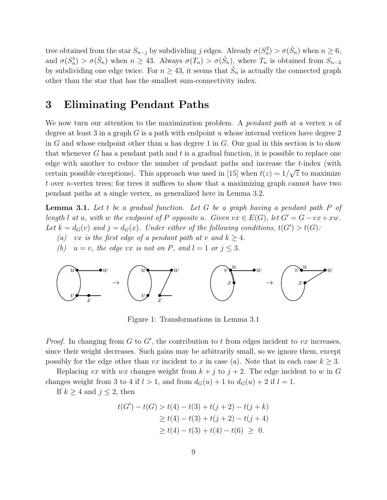tree obtained from the star  $S_{n-j}$  by subdividing j edges. Already  $\sigma(S_n^2) > \sigma(\hat{S}_n)$  when  $n \geq 6$ , and  $\sigma(S_n^1) > \sigma(\hat{S}_n)$  when  $n \geq 43$ . Always  $\sigma(T_n) > \sigma(\hat{S}_n)$ , where  $T_n$  is obtained from  $S_{n-2}$ by subdividing one edge twice. For  $n \geq 43$ , it seems that  $\hat{S}_n$  is actually the connected graph other than the star that has the smallest sum-connectivity index.

### 3 Eliminating Pendant Paths

We now turn our attention to the maximization problem. A *pendant path* at a vertex u of degree at least 3 in a graph  $G$  is a path with endpoint u whose internal vertices have degree 2 in G and whose endpoint other than  $u$  has degree 1 in  $G$ . Our goal in this section is to show that whenever  $G$  has a pendant path and  $t$  is a gradual function, it is possible to replace one edge with another to reduce the number of pendant paths and increase the t-index (with certain possible exceptions). This approach was used in [15] when  $t(z) = 1/\sqrt{z}$  to maximize t over n-vertex trees; for trees it suffices to show that a maximizing graph cannot have two pendant paths at a single vertex, as generalized here in Lemma 3.2.

Lemma 3.1. *Let* t *be a gradual function. Let* G *be a graph having a pendant path* P *of length l at u*, with w the endpoint of P opposite *u*. Given  $vx \in E(G)$ , let  $G' = G - vx + xw$ . Let  $k = d_G(v)$  and  $j = d_G(x)$ . Under either of the following conditions,  $t(G') > t(G)$ :

- *(a)* vx *is the first edge of a pendant path at* v *and*  $k \geq 4$ *.*
- *(b)*  $u = v$ *, the edge vx is not on P, and*  $l = 1$  *or*  $j \leq 3$ *.*



Figure 1: Transformations in Lemma 3.1

*Proof.* In changing from  $G$  to  $G'$ , the contribution to  $t$  from edges incident to  $vx$  increases, since their weight decreases. Such gains may be arbitrarily small, so we ignore them, except possibly for the edge other than vx incident to x in case (a). Note that in each case  $k \geq 3$ .

Replacing vx with wx changes weight from  $k + j$  to  $j + 2$ . The edge incident to w in G changes weight from 3 to 4 if  $l > 1$ , and from  $d_G(u) + 1$  to  $d_G(u) + 2$  if  $l = 1$ .

If  $k \geq 4$  and  $j \leq 2$ , then

$$
t(G') - t(G) > t(4) - t(3) + t(j+2) - t(j+k)
$$
  
\n
$$
\geq t(4) - t(3) + t(j+2) - t(j+4)
$$
  
\n
$$
\geq t(4) - t(3) + t(4) - t(6) \geq 0.
$$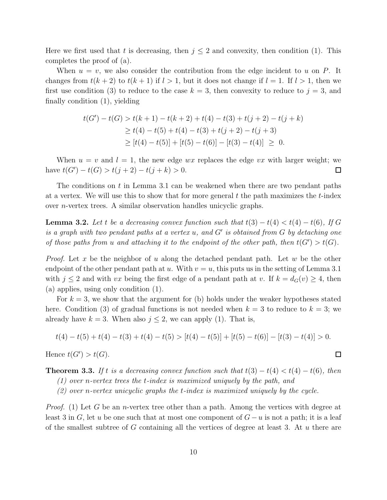Here we first used that t is decreasing, then  $j \leq 2$  and convexity, then condition (1). This completes the proof of (a).

When  $u = v$ , we also consider the contribution from the edge incident to u on P. It changes from  $t(k + 2)$  to  $t(k + 1)$  if  $l > 1$ , but it does not change if  $l = 1$ . If  $l > 1$ , then we first use condition (3) to reduce to the case  $k = 3$ , then convexity to reduce to  $j = 3$ , and finally condition (1), yielding

$$
t(G') - t(G) > t(k+1) - t(k+2) + t(4) - t(3) + t(j+2) - t(j+k)
$$
  
\n
$$
\geq t(4) - t(5) + t(4) - t(3) + t(j+2) - t(j+3)
$$
  
\n
$$
\geq [t(4) - t(5)] + [t(5) - t(6)] - [t(3) - t(4)] \geq 0.
$$

When  $u = v$  and  $l = 1$ , the new edge  $wx$  replaces the edge  $vx$  with larger weight; we have  $t(G') - t(G) > t(j + 2) - t(j + k) > 0.$  $\Box$ 

The conditions on t in Lemma 3.1 can be weakened when there are two pendant paths at a vertex. We will use this to show that for more general  $t$  the path maximizes the  $t$ -index over n-vertex trees. A similar observation handles unicyclic graphs.

**Lemma 3.2.** Let t be a decreasing convex function such that  $t(3) - t(4) < t(4) - t(6)$ , If G *is a graph with two pendant paths at a vertex* u*, and* G′ *is obtained from* G *by detaching one of those paths from u and attaching it to the endpoint of the other path, then*  $t(G') > t(G)$ .

*Proof.* Let x be the neighbor of u along the detached pendant path. Let w be the other endpoint of the other pendant path at u. With  $v = u$ , this puts us in the setting of Lemma 3.1 with  $j \leq 2$  and with vx being the first edge of a pendant path at v. If  $k = d_G(v) \geq 4$ , then (a) applies, using only condition (1).

For  $k = 3$ , we show that the argument for (b) holds under the weaker hypotheses stated here. Condition (3) of gradual functions is not needed when  $k = 3$  to reduce to  $k = 3$ ; we already have  $k = 3$ . When also  $j \leq 2$ , we can apply (1). That is,

$$
t(4) - t(5) + t(4) - t(3) + t(4) - t(5) > [t(4) - t(5)] + [t(5) - t(6)] - [t(3) - t(4)] > 0.
$$

Hence  $t(G') > t(G)$ .

**Theorem 3.3.** If t is a decreasing convex function such that  $t(3) - t(4) < t(4) - t(6)$ , then

*(1) over* n*-vertex trees the* t*-index is maximized uniquely by the path, and*

*(2) over* n*-vertex unicyclic graphs the* t*-index is maximized uniquely by the cycle.*

*Proof.* (1) Let G be an *n*-vertex tree other than a path. Among the vertices with degree at least 3 in G, let u be one such that at most one component of  $G-u$  is not a path; it is a leaf of the smallest subtree of G containing all the vertices of degree at least 3. At  $u$  there are

 $\Box$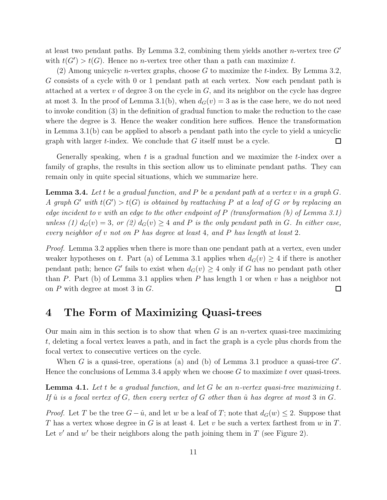at least two pendant paths. By Lemma 3.2, combining them yields another *n*-vertex tree  $G'$ with  $t(G') > t(G)$ . Hence no *n*-vertex tree other than a path can maximize t.

(2) Among unicyclic *n*-vertex graphs, choose G to maximize the t-index. By Lemma 3.2, G consists of a cycle with 0 or 1 pendant path at each vertex. Now each pendant path is attached at a vertex  $v$  of degree 3 on the cycle in  $G$ , and its neighbor on the cycle has degree at most 3. In the proof of Lemma 3.1(b), when  $d_G(v) = 3$  as is the case here, we do not need to invoke condition (3) in the definition of gradual function to make the reduction to the case where the degree is 3. Hence the weaker condition here suffices. Hence the transformation in Lemma 3.1(b) can be applied to absorb a pendant path into the cycle to yield a unicyclic graph with larger  $t$ -index. We conclude that  $G$  itself must be a cycle.  $\Box$ 

Generally speaking, when  $t$  is a gradual function and we maximize the  $t$ -index over a family of graphs, the results in this section allow us to eliminate pendant paths. They can remain only in quite special situations, which we summarize here.

Lemma 3.4. *Let* t *be a gradual function, and* P *be a pendant path at a vertex* v *in a graph* G*. A* graph  $G'$  with  $t(G') > t(G)$  is obtained by reattaching P at a leaf of G or by replacing an *edge incident to* v *with an edge to the other endpoint of* P *(transformation (b) of Lemma 3.1) unless (1)*  $d_G(v) = 3$ , or (2)  $d_G(v) \geq 4$  and P is the only pendant path in G. In either case, *every neighbor of* v *not on* P *has degree at least* 4*, and* P *has length at least* 2*.*

*Proof.* Lemma 3.2 applies when there is more than one pendant path at a vertex, even under weaker hypotheses on t. Part (a) of Lemma 3.1 applies when  $d_G(v) \geq 4$  if there is another pendant path; hence G' fails to exist when  $d_G(v) \geq 4$  only if G has no pendant path other than P. Part (b) of Lemma 3.1 applies when P has length 1 or when v has a neighbor not on P with degree at most 3 in G.  $\Box$ 

### 4 The Form of Maximizing Quasi-trees

Our main aim in this section is to show that when  $G$  is an *n*-vertex quasi-tree maximizing t, deleting a focal vertex leaves a path, and in fact the graph is a cycle plus chords from the focal vertex to consecutive vertices on the cycle.

When G is a quasi-tree, operations (a) and (b) of Lemma 3.1 produce a quasi-tree  $G'$ . Hence the conclusions of Lemma 3.4 apply when we choose  $G$  to maximize t over quasi-trees.

Lemma 4.1. *Let* t *be a gradual function, and let* G *be an* n*-vertex quasi-tree maximizing* t*. If*  $\hat{u}$  *is a focal vertex of* G, then every vertex of G other than  $\hat{u}$  has degree at most 3 *in* G.

*Proof.* Let T be the tree  $G - \hat{u}$ , and let w be a leaf of T; note that  $d_G(w) \leq 2$ . Suppose that T has a vertex whose degree in G is at least 4. Let v be such a vertex farthest from  $w$  in T. Let  $v'$  and  $w'$  be their neighbors along the path joining them in  $T$  (see Figure 2).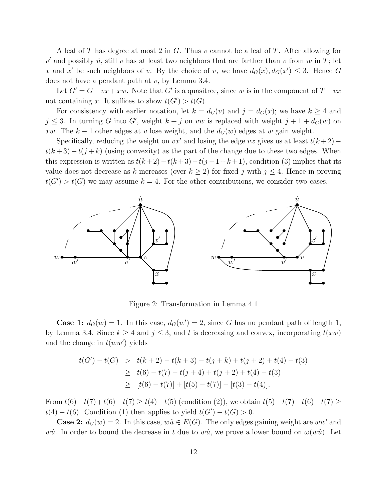A leaf of T has degree at most 2 in G. Thus v cannot be a leaf of T. After allowing for  $v'$  and possibly  $\hat{u}$ , still v has at least two neighbors that are farther than v from w in T; let x and x' be such neighbors of v. By the choice of v, we have  $d_G(x)$ ,  $d_G(x') \leq 3$ . Hence G does not have a pendant path at  $v$ , by Lemma 3.4.

Let  $G' = G - vx + xw$ . Note that G' is a quasitree, since w is in the component of  $T - vx$ not containing x. It suffices to show  $t(G') > t(G)$ .

For consistency with earlier notation, let  $k = d_G(v)$  and  $j = d_G(x)$ ; we have  $k \geq 4$  and  $j \leq 3$ . In turning G into G', weight  $k + j$  on vw is replaced with weight  $j + 1 + d_G(w)$  on xw. The k – 1 other edges at v lose weight, and the  $d_G(w)$  edges at w gain weight.

Specifically, reducing the weight on  $vx'$  and losing the edge vx gives us at least  $t(k+2)$  $t(k+3)-t(j+k)$  (using convexity) as the part of the change due to these two edges. When this expression is written as  $t(k+2)-t(k+3)-t(j-1+k+1)$ , condition (3) implies that its value does not decrease as k increases (over  $k \geq 2$ ) for fixed j with  $j \leq 4$ . Hence in proving  $t(G') > t(G)$  we may assume  $k = 4$ . For the other contributions, we consider two cases.



Figure 2: Transformation in Lemma 4.1

**Case 1:**  $d_G(w) = 1$ . In this case,  $d_G(w') = 2$ , since G has no pendant path of length 1, by Lemma 3.4. Since  $k \geq 4$  and  $j \leq 3$ , and t is decreasing and convex, incorporating  $t(xw)$ and the change in  $t(ww')$  yields

$$
t(G') - t(G) > t(k+2) - t(k+3) - t(j+k) + t(j+2) + t(4) - t(3)
$$
\n
$$
\geq t(6) - t(7) - t(j+4) + t(j+2) + t(4) - t(3)
$$
\n
$$
\geq [t(6) - t(7)] + [t(5) - t(7)] - [t(3) - t(4)].
$$

From  $t(6)-t(7)+t(6)-t(7) \ge t(4)-t(5)$  (condition (2)), we obtain  $t(5)-t(7)+t(6)-t(7) \ge$  $t(4) - t(6)$ . Condition (1) then applies to yield  $t(G') - t(G) > 0$ .

**Case 2:**  $d_G(w) = 2$ . In this case,  $w\hat{u} \in E(G)$ . The only edges gaining weight are  $ww'$  and wû. In order to bound the decrease in t due to wû, we prove a lower bound on  $\omega(w\hat{u})$ . Let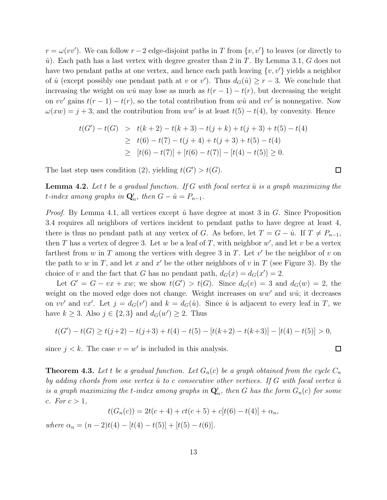$r = \omega(vv')$ . We can follow  $r - 2$  edge-disjoint paths in T from  $\{v, v'\}$  to leaves (or directly to  $\hat{u}$ ). Each path has a last vertex with degree greater than 2 in T. By Lemma 3.1, G does not have two pendant paths at one vertex, and hence each path leaving  $\{v, v'\}$  yields a neighbor of  $\hat{u}$  (except possibly one pendant path at v or v'). Thus  $d_G(\hat{u}) \ge r - 3$ . We conclude that increasing the weight on wû may lose as much as  $t(r-1) - t(r)$ , but decreasing the weight on vv' gains  $t(r-1) - t(r)$ , so the total contribution from  $w\hat{u}$  and  $vv'$  is nonnegative. Now  $\omega(xw) = j + 3$ , and the contribution from  $ww'$  is at least  $t(5) - t(4)$ , by convexity. Hence

$$
t(G') - t(G) > t(k+2) - t(k+3) - t(j+k) + t(j+3) + t(5) - t(4)
$$
  
\n
$$
\geq t(6) - t(7) - t(j+4) + t(j+3) + t(5) - t(4)
$$
  
\n
$$
\geq [t(6) - t(7)] + [t(6) - t(7)] - [t(4) - t(5)] \geq 0.
$$

The last step uses condition (2), yielding  $t(G') > t(G)$ .

**Lemma 4.2.** Let t be a gradual function. If G with focal vertex  $\hat{u}$  is a graph maximizing the  $t$ *-index among graphs in*  $\mathbf{Q}'_n$ *, then*  $G - \hat{u} = P_{n-1}$ *.* 

*Proof.* By Lemma 4.1, all vertices except  $\hat{u}$  have degree at most 3 in  $G$ . Since Proposition 3.4 requires all neighbors of vertices incident to pendant paths to have degree at least 4, there is thus no pendant path at any vertex of G. As before, let  $T = G - \hat{u}$ . If  $T \neq P_{n-1}$ , then T has a vertex of degree 3. Let w be a leaf of T, with neighbor  $w'$ , and let v be a vertex farthest from  $w$  in  $T$  among the vertices with degree 3 in  $T$ . Let  $v'$  be the neighbor of  $v$  on the path to w in T, and let x and x' be the other neighbors of v in T (see Figure 3). By the choice of v and the fact that G has no pendant path,  $d_G(x) = d_G(x') = 2$ .

Let  $G' = G - vx + xw$ ; we show  $t(G') > t(G)$ . Since  $d_G(v) = 3$  and  $d_G(w) = 2$ , the weight on the moved edge does not change. Weight increases on  $ww'$  and  $w\hat{u}$ ; it decreases on vv' and vx'. Let  $j = d_G(v')$  and  $k = d_G(\hat{u})$ . Since  $\hat{u}$  is adjacent to every leaf in T, we have  $k \geq 3$ . Also  $j \in \{2,3\}$  and  $d_G(w') \geq 2$ . Thus

$$
t(G') - t(G) \ge t(j+2) - t(j+3) + t(4) - t(5) - [t(k+2) - t(k+3)] - [t(4) - t(5)] > 0,
$$

since  $j < k$ . The case  $v = w'$  is included in this analysis.

**Theorem 4.3.** Let t be a gradual function. Let  $G_n(c)$  be a graph obtained from the cycle  $C_n$ *by adding chords from one vertex*  $\hat{u}$  to c consecutive other vertices. If G with focal vertex  $\hat{u}$  $i$ s a graph maximizing the  $t$ -index among graphs in  $\mathbf{Q}'_n$ , then  $G$  has the form  $G_n(c)$  for some *c. For*  $c > 1$ *,* 

$$
t(G_n(c)) = 2t(c+4) + ct(c+5) + c[t(6) - t(4)] + \alpha_n,
$$

*where*  $\alpha_n = (n-2)t(4) - [t(4) - t(5)] + [t(5) - t(6)].$ 

 $\Box$ 

 $\Box$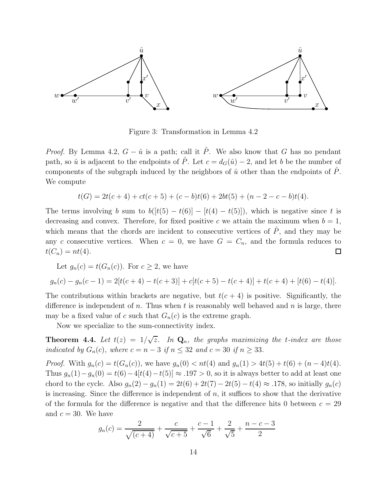

Figure 3: Transformation in Lemma 4.2

*Proof.* By Lemma 4.2,  $G - \hat{u}$  is a path; call it  $\hat{P}$ . We also know that G has no pendant path, so  $\hat{u}$  is adjacent to the endpoints of  $\hat{P}$ . Let  $c = d_G(\hat{u}) - 2$ , and let b be the number of components of the subgraph induced by the neighbors of  $\hat{u}$  other than the endpoints of  $\hat{P}$ . We compute

$$
t(G) = 2t(c+4) + ct(c+5) + (c-b)t(6) + 2bt(5) + (n-2-c-b)t(4).
$$

The terms involving b sum to  $b([t(5) - t(6)] - [t(4) - t(5)]$ , which is negative since t is decreasing and convex. Therefore, for fixed positive c we attain the maximum when  $b = 1$ , which means that the chords are incident to consecutive vertices of  $\ddot{P}$ , and they may be any c consecutive vertices. When  $c = 0$ , we have  $G = C_n$ , and the formula reduces to  $t(C_n) = nt(4).$  $\Box$ 

Let 
$$
g_n(c) = t(G_n(c))
$$
. For  $c \ge 2$ , we have

$$
g_n(c) - g_n(c-1) = 2[t(c+4) - t(c+3)] + c[t(c+5) - t(c+4)] + t(c+4) + [t(6) - t(4)].
$$

The contributions within brackets are negative, but  $t(c+4)$  is positive. Significantly, the difference is independent of n. Thus when t is reasonably well behaved and n is large, there may be a fixed value of c such that  $G_n(c)$  is the extreme graph.

Now we specialize to the sum-connectivity index.

**Theorem 4.4.** Let  $t(z) = 1/\sqrt{z}$ . In  $\mathbf{Q}_n$ , the graphs maximizing the *t*-index are those *indicated by*  $G_n(c)$ *, where*  $c = n - 3$  *if*  $n \leq 32$  *and*  $c = 30$  *if*  $n \geq 33$ *.* 

*Proof.* With  $g_n(c) = t(G_n(c))$ , we have  $g_n(0) < nt(4)$  and  $g_n(1) > 4t(5) + t(6) + (n-4)t(4)$ . Thus  $g_n(1)-g_n(0) = t(6)-4[t(4)-t(5)] \approx .197 > 0$ , so it is always better to add at least one chord to the cycle. Also  $g_n(2) - g_n(1) = 2t(6) + 2t(7) - 2t(5) - t(4) \approx .178$ , so initially  $g_n(c)$ is increasing. Since the difference is independent of  $n$ , it suffices to show that the derivative of the formula for the difference is negative and that the difference hits 0 between  $c = 29$ and  $c = 30$ . We have

$$
g_n(c) = \frac{2}{\sqrt{(c+4)}} + \frac{c}{\sqrt{c+5}} + \frac{c-1}{\sqrt{6}} + \frac{2}{\sqrt{5}} + \frac{n-c-3}{2}
$$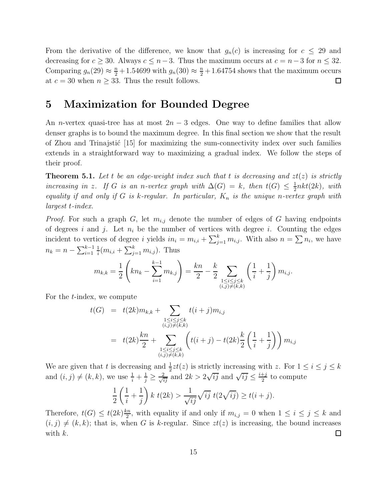From the derivative of the difference, we know that  $g_n(c)$  is increasing for  $c \leq 29$  and decreasing for  $c \geq 30$ . Always  $c \leq n-3$ . Thus the maximum occurs at  $c = n-3$  for  $n \leq 32$ . Comparing  $g_n(29) \approx \frac{n}{2} + 1.54699$  with  $g_n(30) \approx \frac{n}{2} + 1.64754$  shows that the maximum occurs at  $c = 30$  when  $n \geq 33$ . Thus the result follows.  $\Box$ 

### 5 Maximization for Bounded Degree

An *n*-vertex quasi-tree has at most  $2n-3$  edges. One way to define families that allow denser graphs is to bound the maximum degree. In this final section we show that the result of Zhou and Trinajstic  $[15]$  for maximizing the sum-connectivity index over such families extends in a straightforward way to maximizing a gradual index. We follow the steps of their proof.

**Theorem 5.1.** Let t be an edge-weight index such that t is decreasing and  $zt(z)$  is strictly *increasing in* z. If G *is an n*-vertex graph with  $\Delta(G) = k$ , then  $t(G) \leq \frac{1}{2}$  $rac{1}{2}$ nkt(2k), with *equality if and only if* G *is* k*-regular. In particular,* K<sup>n</sup> *is the unique* n*-vertex graph with largest* t*-index.*

*Proof.* For such a graph G, let  $m_{i,j}$  denote the number of edges of G having endpoints of degrees i and j. Let  $n_i$  be the number of vertices with degree i. Counting the edges incident to vertices of degree i yields  $in_i = m_{i,i} + \sum_{j=1}^{k} m_{i,j}$ . With also  $n = \sum n_i$ , we have  $n_k = n - \sum_{i=1}^{k-1}$ 1  $\frac{1}{i}(m_{i,i} + \sum_{j=1}^{k} m_{i,j})$ . Thus

$$
m_{k,k} = \frac{1}{2} \left( kn_k - \sum_{i=1}^{k-1} m_{k,j} \right) = \frac{kn}{2} - \frac{k}{2} \sum_{\substack{1 \le i \le j \le k \\ (i,j) \ne (k,k)}} \left( \frac{1}{i} + \frac{1}{j} \right) m_{i,j}.
$$

For the t-index, we compute

$$
t(G) = t(2k)m_{k,k} + \sum_{\substack{1 \le i \le j \le k \\ (i,j) \ne (k,k)}} t(i+j)m_{i,j}
$$
  
=  $t(2k)\frac{kn}{2} + \sum_{\substack{1 \le i \le j \le k \\ (i,j) \ne (k,k)}} \left( t(i+j) - t(2k)\frac{k}{2} \left( \frac{1}{i} + \frac{1}{j} \right) \right) m_{i,j}$ 

We are given that t is decreasing and  $\frac{1}{2}zt(z)$  is strictly increasing with z. For  $1 \le i \le j \le k$ and  $(i, j) \neq (k, k)$ , we use  $\frac{1}{i} + \frac{1}{j} \geq \frac{2}{\sqrt{ij}}$  and  $2k > 2\sqrt{ij}$  and  $\sqrt{ij} \leq \frac{i+j}{2}$  $\frac{+j}{2}$  to compute

$$
\frac{1}{2}\left(\frac{1}{i}+\frac{1}{j}\right)k\ t(2k) > \frac{1}{\sqrt{ij}}\sqrt{ij}\ t(2\sqrt{ij}) \ge t(i+j).
$$

Therefore,  $t(G) \leq t(2k)\frac{kn}{2}$  $\frac{m}{2}$ , with equality if and only if  $m_{i,j} = 0$  when  $1 \leq i \leq j \leq k$  and  $(i, j) \neq (k, k)$ ; that is, when G is k-regular. Since  $zt(z)$  is increasing, the bound increases with k.  $\Box$